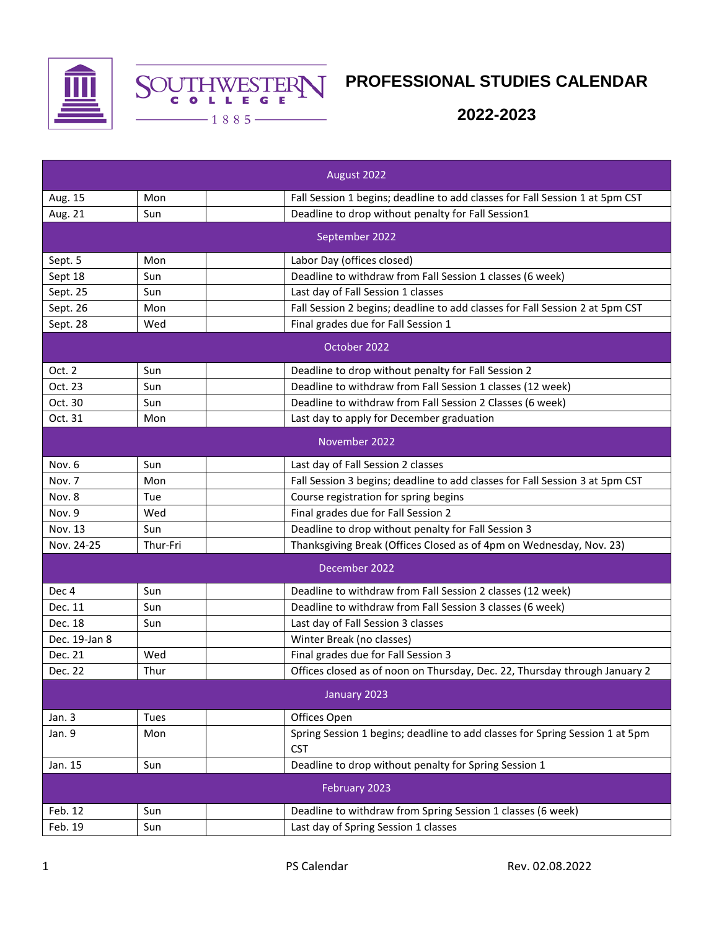



## **PROFESSIONAL STUDIES CALENDAR**

**2022-2023**

|               |          | August 2022                                                                                |
|---------------|----------|--------------------------------------------------------------------------------------------|
| Aug. 15       | Mon      | Fall Session 1 begins; deadline to add classes for Fall Session 1 at 5pm CST               |
| Aug. 21       | Sun      | Deadline to drop without penalty for Fall Session1                                         |
|               |          | September 2022                                                                             |
| Sept. 5       | Mon      | Labor Day (offices closed)                                                                 |
| Sept 18       | Sun      | Deadline to withdraw from Fall Session 1 classes (6 week)                                  |
| Sept. 25      | Sun      | Last day of Fall Session 1 classes                                                         |
| Sept. 26      | Mon      | Fall Session 2 begins; deadline to add classes for Fall Session 2 at 5pm CST               |
| Sept. 28      | Wed      | Final grades due for Fall Session 1                                                        |
|               |          | October 2022                                                                               |
| Oct. 2        | Sun      | Deadline to drop without penalty for Fall Session 2                                        |
| Oct. 23       | Sun      | Deadline to withdraw from Fall Session 1 classes (12 week)                                 |
| Oct. 30       | Sun      | Deadline to withdraw from Fall Session 2 Classes (6 week)                                  |
| Oct. 31       | Mon      | Last day to apply for December graduation                                                  |
|               |          | November 2022                                                                              |
| Nov. 6        | Sun      | Last day of Fall Session 2 classes                                                         |
| Nov. 7        | Mon      | Fall Session 3 begins; deadline to add classes for Fall Session 3 at 5pm CST               |
| Nov. 8        | Tue      | Course registration for spring begins                                                      |
| Nov. 9        | Wed      | Final grades due for Fall Session 2                                                        |
| Nov. 13       | Sun      | Deadline to drop without penalty for Fall Session 3                                        |
| Nov. 24-25    | Thur-Fri | Thanksgiving Break (Offices Closed as of 4pm on Wednesday, Nov. 23)                        |
|               |          | December 2022                                                                              |
| Dec 4         | Sun      | Deadline to withdraw from Fall Session 2 classes (12 week)                                 |
| Dec. 11       | Sun      | Deadline to withdraw from Fall Session 3 classes (6 week)                                  |
| Dec. 18       | Sun      | Last day of Fall Session 3 classes                                                         |
| Dec. 19-Jan 8 |          | Winter Break (no classes)                                                                  |
| Dec. 21       | Wed      | Final grades due for Fall Session 3                                                        |
| Dec. 22       | Thur     | Offices closed as of noon on Thursday, Dec. 22, Thursday through January 2                 |
|               |          | January 2023                                                                               |
| Jan. 3        | Tues     | Offices Open                                                                               |
| Jan. 9        | Mon      | Spring Session 1 begins; deadline to add classes for Spring Session 1 at 5pm<br><b>CST</b> |
| Jan. 15       | Sun      | Deadline to drop without penalty for Spring Session 1                                      |
|               |          | February 2023                                                                              |
| Feb. 12       | Sun      | Deadline to withdraw from Spring Session 1 classes (6 week)                                |
| Feb. 19       | Sun      | Last day of Spring Session 1 classes                                                       |